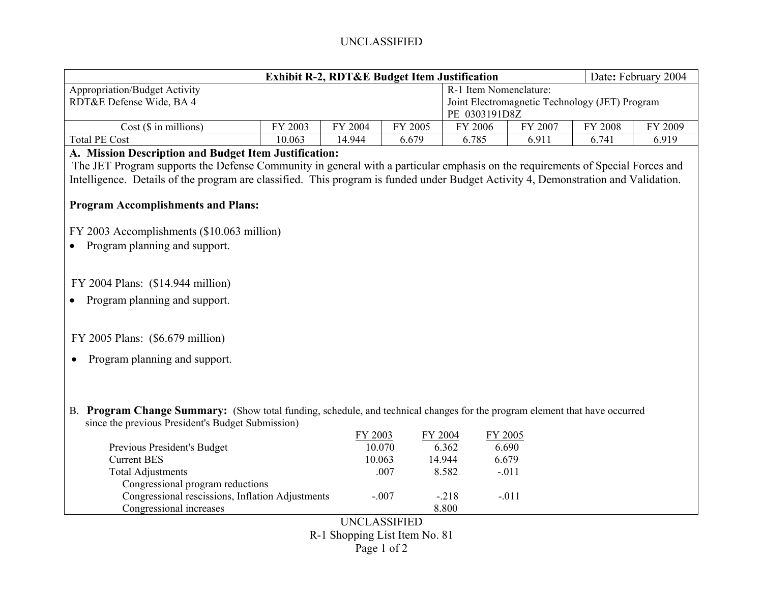# UNCLASSIFIED

| <b>Exhibit R-2, RDT&amp;E Budget Item Justification</b> |         |         |         |                                                |                        |                | Date: February 2004 |  |  |
|---------------------------------------------------------|---------|---------|---------|------------------------------------------------|------------------------|----------------|---------------------|--|--|
| <b>Appropriation/Budget Activity</b>                    |         |         |         |                                                | R-1 Item Nomenclature: |                |                     |  |  |
| RDT&E Defense Wide, BA 4                                |         |         |         | Joint Electromagnetic Technology (JET) Program |                        |                |                     |  |  |
|                                                         |         |         |         |                                                | PE 0303191D8Z          |                |                     |  |  |
| Cost(S in millions)                                     | FY 2003 | FY 2004 | FY 2005 | FY 2006                                        | FY 2007                | <b>FY 2008</b> | FY 2009             |  |  |
| <b>Total PE Cost</b>                                    | 10.063  | 14.944  | 6.679   | 6.785                                          | 6.911                  | 6.741          | 6.919               |  |  |

#### **A. Mission Description and Budget Item Justification:**

The JET Program supports the Defense Community in general with a particular emphasis on the requirements of Special Forces and Intelligence. Details of the program are classified. This program is funded under Budget Activity 4, Demonstration and Validation.

### **Program Accomplishments and Plans:**

FY 2003 Accomplishments (\$10.063 million)

• Program planning and support.

# FY 2004 Plans: (\$14.944 million)

• Program planning and support.

#### FY 2005 Plans: (\$6.679 million)

• Program planning and support.

B. **Program Change Summary:** (Show total funding, schedule, and technical changes for the program element that have occurred since the previous President's Budget Submission)

|                                                  | FY 2003 | FY 2004 | FY 2005 |  |
|--------------------------------------------------|---------|---------|---------|--|
| Previous President's Budget                      | 10.070  | 6.362   | 6.690   |  |
| <b>Current BES</b>                               | 10.063  | 14.944  | 6.679   |  |
| <b>Total Adjustments</b>                         | .007    | 8.582   | $-.011$ |  |
| Congressional program reductions                 |         |         |         |  |
| Congressional rescissions, Inflation Adjustments | $-.007$ | $-218$  | $-.011$ |  |
| Congressional increases                          |         | 8.800   |         |  |

UNCLASSIFIED R-1 Shopping List Item No. 81 Page 1 of 2